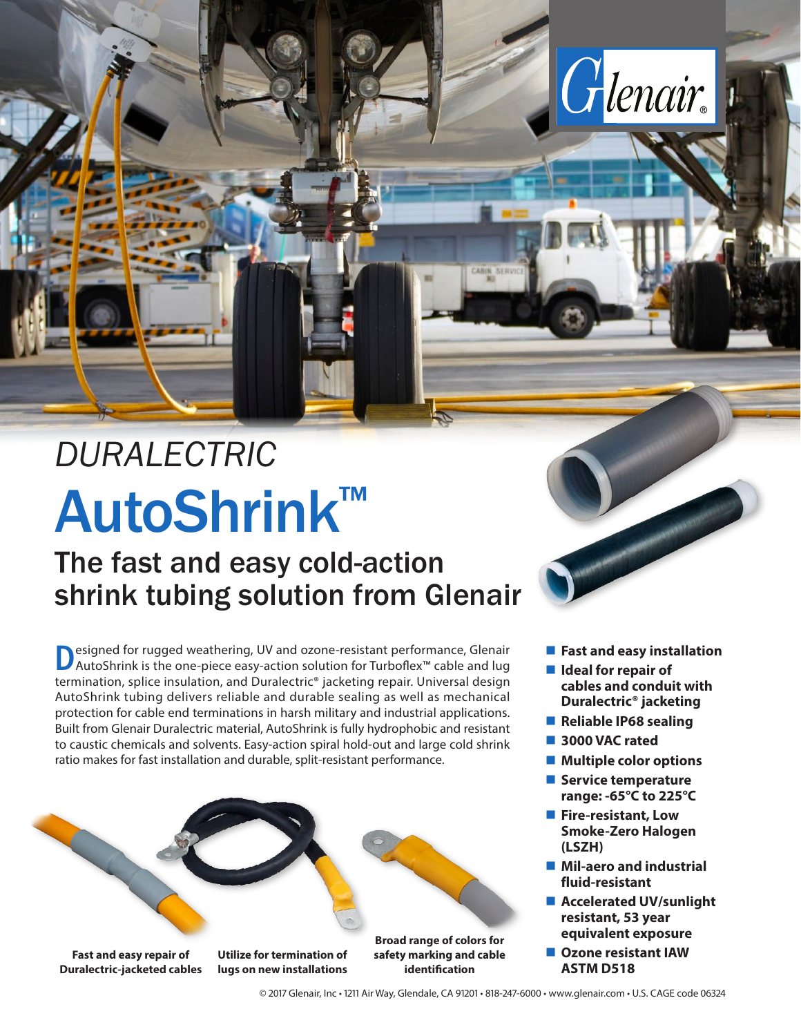

## The fast and easy cold-action shrink tubing solution from Glenair

Designed for rugged weathering, UV and ozone-resistant performance, Glenair<br>AutoShrink is the one-piece easy-action solution for Turboflex™ cable and lug termination, splice insulation, and Duralectric® jacketing repair. Universal design AutoShrink tubing delivers reliable and durable sealing as well as mechanical protection for cable end terminations in harsh military and industrial applications. Built from Glenair Duralectric material, AutoShrink is fully hydrophobic and resistant to caustic chemicals and solvents. Easy-action spiral hold-out and large cold shrink ratio makes for fast installation and durable, split-resistant performance.



**Duralectric-jacketed cables**

**lugs on new installations**

**identification**

**Fast and easy installation** 

Glenair.

- Ideal for repair of **cables and conduit with Duralectric® jacketing**
- Reliable IP68 sealing
- **3000 VAC rated**
- Multiple color options
- **Service temperature range: -65°C to 225°C**
- **Fire-resistant, Low Smoke-Zero Halogen (LSZH)**
- Mil-aero and industrial **fluid-resistant**
- Accelerated UV/sunlight **resistant, 53 year equivalent exposure**
- **Ozone resistant IAW ASTM D518**